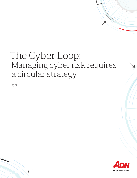# The Cyber Loop: Managing cyber risk requires a circular strategy

*2019*

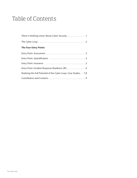## Table of Contents

| There Is Nothing Linear About Cyber Security. 1                  |
|------------------------------------------------------------------|
|                                                                  |
| <b>The Four Entry Points</b>                                     |
|                                                                  |
|                                                                  |
|                                                                  |
|                                                                  |
| Realizing the Full Potential of the Cyber Loop: Case Studies 7,8 |
|                                                                  |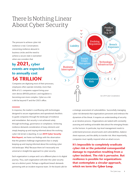## <span id="page-2-0"></span>There Is Nothing Linear About Cyber Security

The pressure to achieve cyber risk resilience is real. Conversations concerning resilience abound in business circles and the need to achieve a secure state is warranted when one considers that

### by 2021, cyber events are expected to annually cost \$6 TRILLION'.

Companies are digitizing most of their processes; employees often operate remotely; more than 80% of U.S. companies support bring-yourown-device (BYOD) policies<sup>ii</sup>; and regulation is becoming ever-more complex. Cyber as a risk is felt far beyond IT and the CISO's office.

In response, the market is overflowing with technologies designed to secure organizations and operational checklists to guide companies through the landscape of resilience and remediation. But security is not achieved solely through technology, governance or compliance. Achieving resilience demands consideration of many elements and simply keeping up and staying informed about the evolving cyber risk terrain is daunting. In our 2019 Cyber Security [Risk Report](https://aon.io/2019TopCyberRisks), we frame our findings with the observation that the greatest challenge organizations face is simply keeping up and staying informed about the evolving cyber risk landscape. Why? Because there isn't necessarily one universal or straight-line approach to cyber security.

Each organization is unique and is at a different place in its digital journey. Thus, each organization will enter the cyber security race at a distinct point. Perhaps a significant breach demands partnering with an incident response team. Or the board calls for a strategic assessment of vulnerabilities. Successfully managing cyber risk demands that organizations persevere and embrace the dynamism of the threat. It requires an understanding of security as an iterative process. Organizations are tasked with constantly assessing and seeking actionable data about the emerging threats on the horizon. In particular, top-level management needs to understand processes around assets and vulnerabilities, balance sheet exposure, and the ability to transfer risk. Most importantly, companies must rapidly respond when an attack occurs.

**Supply** Chain **Disruption** 

V

Ō

Business Interruption

 $\rightarrow$   $\rightarrow$ 

Liability | | | | Regulation

Reputational Risk

Evolving

**Breach** Expenses

Product Risk  $(\mathsf{e.g.}, \mathsf{IoT})$ 

**Technology Infrastructure** 

*Aon 2019 Cyber Considerations*

 $\zeta$  ,  $\zeta$  ,  $\zeta$  ,  $\zeta$ 

It's impossible to completely eradicate cyber risk or the potential consequential damage to reputation resulting from a cyber incident. The risk is pervasive. But resilience is possible for organizations that contemplate a circular approach, which we term the Cyber Loop.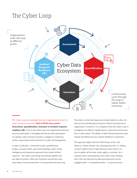## <span id="page-3-0"></span>The Cyber Loop



The Cyber Loop acknowledges that each organization will start its cyber security journey from ONE of FOUR entry points: Assessment, quantification, insurance or incident response readiness (IR). Once in the Cyber Loop, the organization becomes an active participant in managing risk and an active participant in a greater cyber security ecosystem, engaged in continuous review, improvement and investment in cyber risk management.

As data is collected – assessment results, quantification studies, insurance limits, peer benchmarking, claims, threat intelligence and experience garnered from actual incident response – the Cyber Loop brings everything together into one data ecosystem. With each revolution around the Loop, more data is extracted and then re-invested back into the Loop. The result is a fresh and large pool of data related to cyber risk that can be systematically accessed to inform and improve an organization's resilience. As a company circles the Cyber Loop, it strengthens its ability to rapidly detect, respond to and recover from a cyber attack. The ability to make informed decisions gets sharper and efficiencies are created. Resilience is improved.

This approach aligns with the OODA loop, or the cycle Observe–Orient–Decide–Act, developed by the U.S. military to teach soldiers how to make decisions when there's no time to gather all the data—when agility is essential. For a company that is participating in the Cyber Loop, thinking that is fast and informed by data and experience can be engaged when – or hopefully before – a cyber event hits.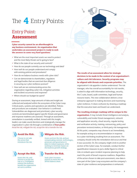### <span id="page-4-0"></span>Entry Point: **Assessment**

Cyber security cannot be an afterthought in any business environment. An organization that undertakes an assessment project is ready to seek the answers to some very hard questions:

- What are the most important assets we need to protect and the most likely threats we're going to face?
- What is the state of our security and controls?
- How do our people currently use our technology and data?
- How well do our people understand and comply with existing policies and procedures?
- How do we balance business needs with cyber risks?
- Can we demonstrate to shareholders, regulators and legal bodies that we exercised due diligence in securing our cyber resilience posture?
- How well are we communicating across the organization regarding cyber risk, mitigation activities and incident occurrence and response?
- Where should our budget be spent?

During an assessment, large amounts of data and insight are collected and analyzed within the ecosystem of the Cyber Loop. Critical assets, systems and operations are identified. Policies and procedures are evaluated. User behavior is confirmed. Vulnerabilities are diagnosed and prioritized, cyber security controls are benchmarked against specific threats and governance and response readiness are assessed. Through an assessment, remediation is essentially verified. Armed with this insight, leaders can make sound decisions and strategically manage the organization's cyber risk through a combination of **four paths:** *Avoid the risk, mitigate the risk, accept the risk or transfer the risk.* 

Choose to not take the action that introduces the risk.

Assess the risk, and choose to accept the risk as is, if mitigation reduces the business benefit the organization set out to achieve.

![](_page_4_Picture_17.jpeg)

Assess and test the risk, and put compensating controls, technologies, processes and governance in place to reduce exposure, while working to minimize impact on the business growth strategy.

![](_page_4_Picture_19.jpeg)

Seek cyber insurance policies to move the risk off the balance sheet.

![](_page_4_Figure_21.jpeg)

The results of an assessment allow for strategic decisions to be made in the context of an organization's culture and risk tolerance. Security programs may be aligned with threats and corporate priorities. The organization's risk appetite is better understood. The risk manager, who has overall accountability for risk transfer, is asked to align with information technology, security, the C-suite, board, audit committee, legal and human resource teams. This new collaboration delivers a true enterprise approach to making decisions and maximizing cyber resilience. It clears confusion by drawing a roadmap that the executive team and board can understand.

#### The resulting strategic roadmap will be unique to the

organization. It may include threat intelligence and analysis, vulnerability and insider threat management, network and application security, cloud security, regular testing and verification activity, training, outsourcing, policy and procedure revision/creation, or third-party risk management. At this point, companies may choose to act immediately, for example acting on a recommendation in response to a cyber risk finding resulting from an assessment. The company should verify the remediation did occur and that it was successful. Or, the company might circle to another section of the Cyber Loop. For example, conduct further quantification measures to put a dollar figure to critical risks or embark upon incident response planning to help reach the point of breach response readiness. Regardless of the action chosen to take post-assessment, new data is now part of the Cyber Loop ecosystem and the company's state of cyber resilience and preparedness is enhanced.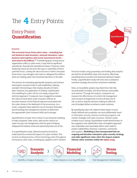### <span id="page-5-0"></span>Entry Point: **Quantification**

The economic losses from cyber crime – including but not limited to data breaches, network intrusions, cyber business interruptions and recent ransomware losses – now total in the billions.<sup>iii</sup> If something goes wrong and an organization suffers a cyber event, it may lead to significant operational, financial and reputational impact. However, many leadership teams do not know the type or materiality of these potential losses. Lacking the data and tools to better anticipate these losses, top managers who want to safeguard the balance sheet are making cyber risk investment decisions in the dark.

The process for evaluating appropriate property and business interruption insurance limits is well established, utilizing standard risk techniques that employ decades of claims data. However, the application of similarly sophisticated risk modelling for cyber risk has not widely enjoyed this technical approach. Companies have struggled to evaluate the value of stand-alone cyber insurance without an accurate measure of the financial exposure associated with the cyber threat or the likelihood of risk occurrence. As a result, companies have opted for use of insurance limit peer benchmarking and management intuition to determine the appropriate cyber insurance limits and coverage.

Quantification of cyber risk is critical. It uses financial modeling to help companies make smart, data-driven choices on cyber security risk management with the goal of helping safeguard the balance sheet and optimizing total cost of risk.

In a quantification study, tailored scenarios are built to understand the commercial impact of a cyber incident. This involves locating business-critical technology assets throughout the business value chain, including key suppliers and IT vendors.

Financial models using proprietary and leading data analytics are built for all identified cyber risk scenarios, effectively translating these scenarios into financial statement impact. Finally, a quantification study will stress test a company's insurance strategy and security investment roadmap.

**Quantification** 

Next, an insurability analysis may determine risks that are potentially insurable, and those that are uninsurable and retained. Through this analysis, companies can measure the effectiveness of current risk management and insurance arrangements in terms of total cost of risk, as well as improve decision-making on effective uses of budget dollars to enhance cyber resilience.

By quantifying cyber risk, balance sheet impact is more clearly defined and companies can more deliberately invest in information security, business continuity programs, risk transfer strategies and cyber insurance. Should a cyber incident occur, having a quantifiable model demonstrates to key regulators and stakeholders that a thoughtful approach was undertaken and reasonable efforts were made to protect stakeholders: financial, customers, community and suppliers. Modelling is best incorporated into an ongoing and iterative enterprise cyber security strategy and adds significant value when the impact analysis informs other activities within the Cyber Loop.

**Scenario Financial Stress** 。<br>ソー × እ  $\overline{\mathsf{x}}$ **Analysis Modeling Testing**

Identify + Analyze Scenarios Data Analysis + Loss Quantification

Risk Management Optimization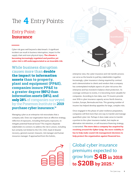### <span id="page-6-0"></span>Entry Point: **Insurance**

Cyber risk goes well beyond a data breach. A significant incident can result in business interruption, impact to the supply chain and even physical injury. The climate is becoming increasingly regulated and punitive yet cyber risk is still underappreciated as an insurable risk.

While business disruption causes more than double the impact to information assets **than to property, plant and equipment (PP&E), companies insure PP&E to a greater degree** (60%) **than information assets** (16%)**, and**  only 28% of companies surveyed by the Ponemon Institute in **2019 purchase cyber insurance.iv**

Managing cyber as an enterprise risk necessitates that a company asks: Does our organization have an effective strategy, reflective of exposures, including third-party exposures, to mitigate potential financial losses? This requires disparate stakeholders to connect; to address the risk in unison, including but certainly not limited to the CIO, CISO, head of disaster recovery, general counsel, treasurer, risk manager and human resources manager. If approached from this holistic,

![](_page_6_Picture_5.jpeg)

Insurance

enterprise view, the cyber insurance and risk transfer process can serve as the bowtie to pull key stakeholders together. Increasingly, cyber insurance is being required by contract and is demonstrative to clients and vendors that a company has contemplated multiple aspects of cyber risk across the enterprise and has invested in balance sheet protection. As coverage continues to evolve, it is becoming more valuable for companies. According to Aon data, over 75 insurers provide over \$1B in cyber insurance capacity across North America, London, Europe, Bermuda and Asia. This growing number of insurers has helped develop appetites for large, complex risks.

Once engaged in this phase of cyber resilience preparation, companies will find more than one way to transfer and manage quantified cyber risk. Perhaps it does make sense to transfer a portion to the cyber insurance market, but maybe an alternative risk retention, or self-insurance financing strategy, is warranted. The more data a company has acquired by revolving around the Cyber Loop, the more visibility it has to help make sound risk management decisions to help protect the organization against financial loss.

Global cyber insurance premiums expected to grow from **\$4B in 2018 to \$20B by 2025.v**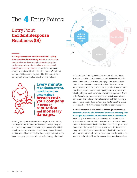### <span id="page-7-0"></span>Entry Point: **Incident Response Readiness (IR)**

![](_page_7_Picture_2.jpeg)

A company receives a call from the FBI saying that sensitive data is being leaked; a ransomware message flashes threatening business interruption, or shutdown, due to the inability to access critical data if demands are not met; or, maybe a credit card company sends notification that the company's point of service (POS) system is suspected for PCI compromise, serving as the source of an attack on card holders.

![](_page_7_Picture_4.jpeg)

Every minute of an undiscovered, unaddressed or uncontained breach costs your company in terms of reputation and **monetary**<br>damages.

Entering the Cyber Loop at incident response readiness (IR) can be proactive, for example developing a response plan and conducting tabletop exercises in preparation for a likely attack; or reactive, when faced with an urgent need to find, contain and mitigate an incident. For an organization that has been managing cyber risk with a circular strategy, significant

value is unlocked during incident response readiness. Those that have completed assessment work will be familiar with the environment from a network topography standpoint and will know the location and type of critical data. There will be an understanding of policy, procedure and people. Armed with this knowledge, responders can more quickly develop a picture of what is going on, and how to shut down the compromise. Once in the Cyber Loop, companies receive immediate access to realtime attack data and indicators of compromise (IOC), making it faster to trace an attacker's footprints and determine the nature of the attack or what information might have been impacted.

Incident response is also bolstered through preparation. Preparation can be the difference between a company that is ravaged by an attack, and one that finds it a disruption. A company with an interdisciplinary leadership team that has practiced response to common scenarios like trade secret theft, credit card data breach, healthcare data breach (PHI), personally identifiable information (PII) breach, wire fraud, business email compromise (BEC), ransomware incident, hacktivist attack and other foreseen attacks, is likely to make good decisions at the 11th hour and reduce the risk for the balance sheet and stakeholders.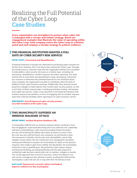## <span id="page-8-0"></span>Realizing the Full Potential of the Cyber Loop **Case Studies**

Every organization can strengthen its posture when cyber risk is managed with a circular and holistic strategy. Below are engagement examples that illustrate the value of operating within the Cyber Loop. Each company enters the Cyber Loop at a distinct point and each employs a circular strategy to achieve resilience.

#### THIS FINANCIAL INSTITUTION WANTED A FULL SUITE OF CYBER SECURITY RISK SERVICES

#### ENTRY POINT: Assessment and Quantification

A financial institution in Europe was interested in purchasing cyber insurance for the first time. However, this is not where they entered the Cyber Loop. Through the tender process, it became clear that the organization desired one consultant to help address cyber security risk issues on a holistic basis, including risk assessment, quantification, incident response and claims reporting. Our team started with an assessment and quantification study, developing customized loss scenarios to determine the potential financial loss the institution faced. Once complete, the organization was able to confidently select the limit of liability for their cyber insurance purchase. Additionally, they selected several proactive strategies to help improve their overall cyber security posture, as well as test their incident response plan, including penetration testing, red teaming and a table top exercise. Lastly, it was important to this financial institution that incident response was seamless, in terms of engaging with an incident response team that could also facilitate claims reporting to its cyber insurance carriers.

#### END RESULT: Overall improved cyber security posture via a full revolution of the Cyber Loop.

![](_page_8_Picture_6.jpeg)

#### THIS MUNICIPALITY SUFFERED AN IMMENSE MALWARE ATTACK

#### ENTRY POINT: Incident Response Readiness (IR)

A municipality suffered from an immense malware attack, resulting in more than 20 gigabytes of personal data being sent to an unknown site. Leadership had been contemplating a cyber insurance program before the attack but was still reviewing the added value when an attack occurred. Once the crisis was over and the breach was contained, we performed a cyber risk assessment to identify critical assets and vulnerabilities, and to help mitigate a future attack. We also conducted crisis management simulation training and tabletops to prepare the municipality for rapid, on-the-ground response. Now ready to gain more visibility and dig deeper, the municipality circled the Loop to quantification. We performed cyber impact analysis and financial modeling, providing leadership with the data required to confidently make decisions about what risks to maintain, mitigate or transfer. The circular approach then moved to insurance, where we helped to not only secure coverage but also advised on policy wording that reflected the municipality's cyber risk and was in step with their risk tolerance level.

#### End result: Empowered a security culture and helped improve resilience for this municipality.

![](_page_8_Figure_11.jpeg)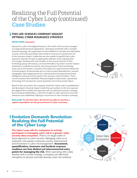## Realizing the Full Potential of the Cyber Loop (continued) **Case Studies**

#### THIS LIFE SCIENCES COMPANY SOUGHT OPTIMAL CYBER INSURANCE STRATEGY

#### ENTRY POINT: Insurance

Exposure to cyber risk weighed heavily on the minds of the security managers at a large pharmaceutical organization. Operating worldwide with a complex network topology, the organization found it difficult to centralize the information security control documentation that would be necessary to present the risk to the insurance market. Leadership was also unable to quantify their cyber exposures and did not have an appropriate indicator of the required level of coverage. Working with senior leaders in the security function (CISO), technology group and treasury, we recommended a top-down scenario analysis workshop to establish the priority risks facing mission-critical technology assets across the business. Scenarios were built out in great technical detail and involved analysis of internal data sets on critical system dependencies, network topography, data mapping exercises, internal tactical and operational threat intelligence and post-activity reports from previous critical incidents. Three critical scenarios were identified: Pharmacovigilance data breach, operational technology (OT) production system downtime and critical vendor failure.

Based on this assessment, the company circled the Cyber Loop to quantification and developed a financial impact model that put numbers to the loss exposure and aligned the insurable risk exposures with an optimized insurance strategy. By involving all stakeholders, a clear line of sight to cyber exposures across the enterprise was established, helping to secure best-in-class insurance coverage.

#### End result: For the first time, the board was able to sanction a capital expenditure for the procurement of cyber insurance.

![](_page_9_Picture_6.jpeg)

### Evolution Demands Revolution: Realizing the Full Potential of the Cyber Loop

The Cyber Loop calls for companies to actively participate in managing cyber risk in a greater cyber security data ecosystem. There is no magic bullet or linear approach to cyber security. Managing cyber as an enterprise risk requires continuous review, improvement and investment in cyber risk management. **Assessment,** quantification, insurance and incident response readiness are four distinct yet interconnected entry points for managing the risk. When operating with a data mindset and a circular strategy, a company can effectively strengthen its posture and help develop cyber risk resilience.

![](_page_9_Picture_9.jpeg)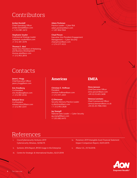## <span id="page-10-0"></span>Contributors

Jordan Kendall Chief Operating Officer jordan.kendall@aon.com

+ 1 212.981.2672

Stephanie Snyder Commercial Strategy Leader stephanie.snyder@aon.com +1 312.381.5078

Thomas E. Abel Senior Vice President of Marketing and Business Development thomas.abel@aon com +1 212.903.2818

#### Adam Peckman

Practice Leader – Cyber Risk adam.peckman@aon.com +1 201 856 9364

Chad Pinson Executive Vice President Engagement Management — Cyber Security chad.pinson@aon.com +1 214.377.4553

## **Contacts**

Jason J. Hogg Chief Executive Officer jason.j.hogg@aon.com

Eric Friedberg Co-President eric.friedberg@aon.com +1 212.981.6536

Edward Stroz Co-President edward.stroz2@aon.com +1 212.981.6541

### **Americas**

Christian E. Hoffman President christian.hoffman@aon.com +1 212.441.2263

CJ Dietzman Security Advisory Practice Leader cj.dietzman@aon.com + 1 212.903.2828

Jay Stampfl National Sales Leader — Cyber Security jay.stampfl@aon.com +1 203.682.6470

### **EMEA**

Onno Janssen Chief Executive Officer onno.janssen@aon.com +49 (4) 03.605.3608

Vanessa Leemans Chief Commercial Officer vanessa.leemans@aon.co.uk +44 (0) 20.7086.4465

## References

- i. Cisco/Cybersecurity Ventures 2019 Cybersecurity Almanac, 02/06/19.
- ii. Syntonic 2016 Report, BYOD Usage in the Enterprise
- iii. Centre for Strategic & International Studies, 02/21/2018
- iv. Ponemon 2019 Intangible Asset Financial Statement Impact Comparison Report, 05/01/2019.
- v. Allianz S.E., 01/16/2018.

![](_page_10_Picture_24.jpeg)